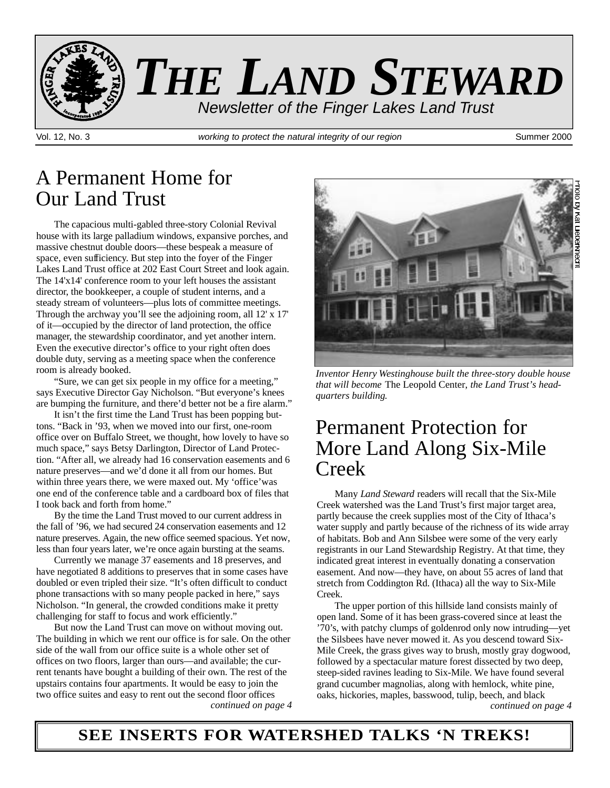

### A Permanent Home for Our Land Trust

The capacious multi-gabled three-story Colonial Revival house with its large palladium windows, expansive porches, and massive chestnut double doors—these bespeak a measure of space, even sufficiency. But step into the foyer of the Finger Lakes Land Trust office at 202 East Court Street and look again. The 14'x14' conference room to your left houses the assistant director, the bookkeeper, a couple of student interns, and a steady stream of volunteers—plus lots of committee meetings. Through the archway you'll see the adjoining room, all 12' x 17' of it—occupied by the director of land protection, the office manager, the stewardship coordinator, and yet another intern. Even the executive director's office to your right often does double duty, serving as a meeting space when the conference room is already booked.

"Sure, we can get six people in my office for a meeting," says Executive Director Gay Nicholson. "But everyone's knees are bumping the furniture, and there'd better not be a fire alarm."

It isn't the first time the Land Trust has been popping buttons. "Back in '93, when we moved into our first, one-room office over on Buffalo Street, we thought, how lovely to have so much space," says Betsy Darlington, Director of Land Protection. "After all, we already had 16 conservation easements and 6 nature preserves—and we'd done it all from our homes. But within three years there, we were maxed out. My 'office' was one end of the conference table and a cardboard box of files that I took back and forth from home."

By the time the Land Trust moved to our current address in the fall of '96, we had secured 24 conservation easements and 12 nature preserves. Again, the new office seemed spacious. Yet now, less than four years later, we're once again bursting at the seams.

Currently we manage 37 easements and 18 preserves, and have negotiated 8 additions to preserves that in some cases have doubled or even tripled their size. "It's often difficult to conduct phone transactions with so many people packed in here," says Nicholson. "In general, the crowded conditions make it pretty challenging for staff to focus and work efficiently."

But now the Land Trust can move on without moving out. The building in which we rent our office is for sale. On the other side of the wall from our office suite is a whole other set of o ffices on two floors, larger than ours—and available; the current tenants have bought a building of their own. The rest of the upstairs contains four apartments. It would be easy to join the two office suites and easy to rent out the second floor offices



*Inventor Henry Westinghouse built the three-story double house that will become* The Leopold Center, *the Land Trust's headquarters building.*

### Permanent Protection for More Land Along Six-Mile Creek

Many *Land Steward* readers will recall that the Six-Mile Creek watershed was the Land Trust's first major target area, partly because the creek supplies most of the City of Ithaca's water supply and partly because of the richness of its wide array of habitats. Bob and Ann Silsbee were some of the very early registrants in our Land Stewardship Registry. At that time, they indicated great interest in eventually donating a conservation easement. And now—they have, on about 55 acres of land that stretch from Coddington Rd. (Ithaca) all the way to Six-Mile Creek.

The upper portion of this hillside land consists mainly of open land. Some of it has been grass-covered since at least the '70's, with patchy clumps of goldenrod only now intruding—yet the Silsbees have never mowed it. As you descend toward Six-Mile Creek, the grass gives way to brush, mostly gray dogwood, followed by a spectacular mature forest dissected by two deep, steep-sided ravines leading to Six-Mile. We have found several grand cucumber magnolias, along with hemlock, white pine, oaks, hickories, maples, basswood, tulip, beech, and black *continued on page 4 continued on page 4*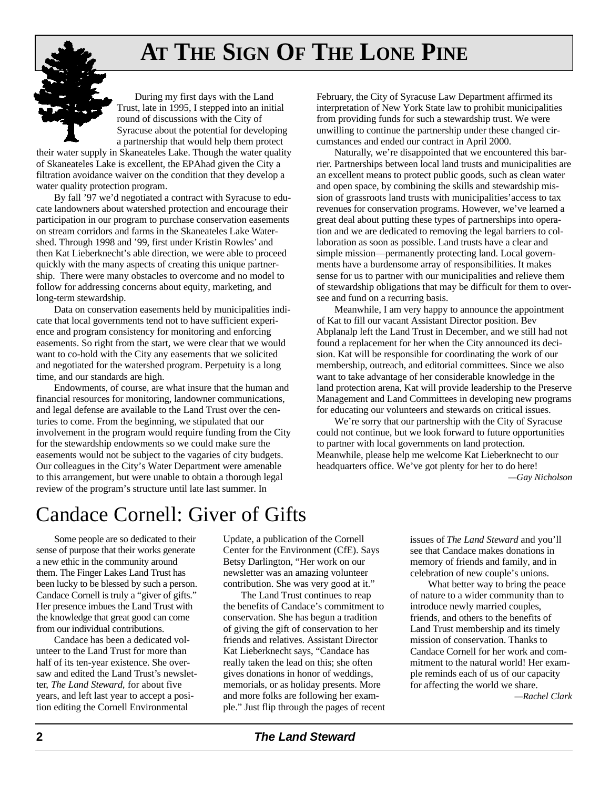# **AT THE SIGN OF THE LONE PINE**



During my first days with the Land Trust, late in 1995, I stepped into an initial round of discussions with the City of Syracuse about the potential for developing a partnership that would help them protect

their water supply in Skaneateles Lake. Though the water quality of Skaneateles Lake is excellent, the EPAhad given the City a filtration avoidance waiver on the condition that they develop a water quality protection program.

By fall '97 we'd negotiated a contract with Syracuse to educate landowners about watershed protection and encourage their participation in our program to purchase conservation easements on stream corridors and farms in the Skaneateles Lake Watershed. Through 1998 and '99, first under Kristin Rowles' and then Kat Lieberknecht's able direction, we were able to proceed quickly with the many aspects of creating this unique partnership. There were many obstacles to overcome and no model to follow for addressing concerns about equity, marketing, and long-term stewardship.

Data on conservation easements held by municipalities indicate that local governments tend not to have sufficient experience and program consistency for monitoring and enforcing easements. So right from the start, we were clear that we would want to co-hold with the City any easements that we solicited and negotiated for the watershed program. Perpetuity is a long time, and our standards are high.

Endowments, of course, are what insure that the human and financial resources for monitoring, landowner communications, and legal defense are available to the Land Trust over the centuries to come. From the beginning, we stipulated that our involvement in the program would require funding from the City for the stewardship endowments so we could make sure the easements would not be subject to the vagaries of city budgets. Our colleagues in the City's Water Department were amenable to this arrangement, but were unable to obtain a thorough legal review of the program's structure until late last summer. In

February, the City of Syracuse Law Department affirmed its interpretation of New York State law to prohibit municipalities from providing funds for such a stewardship trust. We were unwilling to continue the partnership under these changed circumstances and ended our contract in April 2000.

Naturally, we're disappointed that we encountered this barrier. Partnerships between local land trusts and municipalities are an excellent means to protect public goods, such as clean water and open space, by combining the skills and stewardship mission of grassroots land trusts with municipalities'access to tax revenues for conservation programs. However, we've learned a great deal about putting these types of partnerships into operation and we are dedicated to removing the legal barriers to collaboration as soon as possible. Land trusts have a clear and simple mission—permanently protecting land. Local governments have a burdensome array of responsibilities. It makes sense for us to partner with our municipalities and relieve them of stewardship obligations that may be difficult for them to oversee and fund on a recurring basis.

Meanwhile, I am very happy to announce the appointment of Kat to fill our vacant Assistant Director position. Bev Abplanalp left the Land Trust in December, and we still had not found a replacement for her when the City announced its decision. Kat will be responsible for coordinating the work of our membership, outreach, and editorial committees. Since we also want to take advantage of her considerable knowledge in the land protection arena, Kat will provide leadership to the Preserve Management and Land Committees in developing new programs for educating our volunteers and stewards on critical issues.

We're sorry that our partnership with the City of Syracuse could not continue, but we look forward to future opportunities to partner with local governments on land protection. Meanwhile, please help me welcome Kat Lieberknecht to our headquarters office. We've got plenty for her to do here! *—Gay Nich o l s o n*

## Candace Cornell: Giver of Gifts

Some people are so dedicated to their sense of purpose that their works generate a new ethic in the community around them. The Finger Lakes Land Trust has been lucky to be blessed by such a person. Candace Cornell is truly a "giver of gifts." Her presence imbues the Land Trust with the knowledge that great good can come from our individual contributions.

Candace has been a dedicated volunteer to the Land Trust for more than half of its ten-year existence. She oversaw and edited the Land Trust's newsletter, *The Land Steward*, for about five years, and left last year to accept a position editing the Cornell Environmental

Update, a publication of the Cornell Center for the Environment (CfE). Says Betsy Darlington, "Her work on our newsletter was an amazing volunteer contribution. She was very good at it."

The Land Trust continues to reap the benefits of Candace's commitment to conservation. She has begun a tradition of giving the gift of conservation to her friends and relatives. Assistant Director Kat Lieberknecht says, "Candace has really taken the lead on this; she often gives donations in honor of weddings, memorials, or as holiday presents. More and more folks are following her example." Just flip through the pages of recent issues of *The Land Steward* and you'll see that Candace makes donations in memory of friends and family, and in celebration of new couple's unions.

What better way to bring the peace of nature to a wider community than to introduce newly married couples, friends, and others to the benefits of Land Trust membership and its timely mission of conservation. Thanks to Candace Cornell for her work and commitment to the natural world! Her example reminds each of us of our capacity for affecting the world we share.

*— R a chel Clark*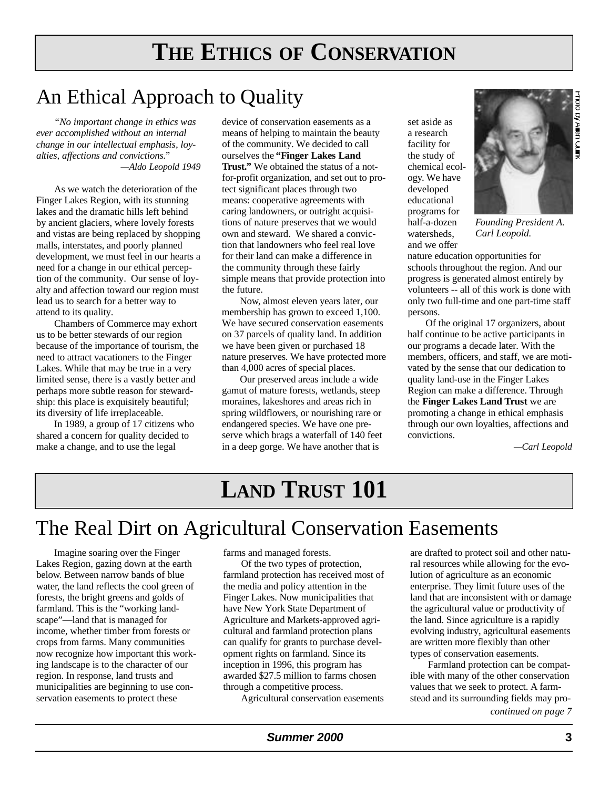# **THE ETHICS OF CONSERVATION**

## An Ethical Approach to Quality

*"No important change in ethics was ever accomplished without an internal change in our intellectual emphasis, lovalties, affections and convictions." —Aldo Leopold 1949*

As we watch the deterioration of the Finger Lakes Region, with its stunning lakes and the dramatic hills left behind by ancient glaciers, where lovely forests and vistas are being replaced by shopping malls, interstates, and poorly planned development, we must feel in our hearts a need for a change in our ethical perception of the community. Our sense of loyalty and affection toward our region must lead us to search for a better way to attend to its quality.

Chambers of Commerce may exhort us to be better stewards of our region because of the importance of tourism, the need to attract vacationers to the Finger Lakes. While that may be true in a very limited sense, there is a vastly better and perhaps more subtle reason for stewardship: this place is exquisitely beautiful; its diversity of life irreplaceable.

In 1989, a group of 17 citizens who shared a concern for quality decided to make a change, and to use the legal

device of conservation easements as a means of helping to maintain the beauty of the community. We decided to call ourselves the **"Finger Lakes Land Trust."** We obtained the status of a notfor-profit organization, and set out to protect significant places through two means: cooperative agreements with caring landowners, or outright acquisitions of nature preserves that we would own and steward. We shared a conviction that landowners who feel real love for their land can make a difference in the community through these fairly simple means that provide protection into the future.

Now, almost eleven years later, our membership has grown to exceed 1,100. We have secured conservation easements on 37 parcels of quality land. In addition we have been given or purchased 18 nature preserves. We have protected more than 4,000 acres of special places.

Our preserved areas include a wide gamut of mature forests, wetlands, steep moraines, lakeshores and areas rich in spring wildflowers, or nourishing rare or endangered species. We have one preserve which brags a waterfall of 140 feet in a deep gorge. We have another that is

set aside as a research facility for the study of chemical ecology. We have developed educational programs for half-a-dozen watersheds, and we offer



*Founding President A. Carl Leopold.*

nature education opportunities for schools throughout the region. And our progress is generated almost entirely by volunteers -- all of this work is done with only two full-time and one part-time staff persons.

Of the original 17 organizers, about half continue to be active participants in our programs a decade later. With the members, officers, and staff, we are motivated by the sense that our dedication to quality land-use in the Finger Lakes Region can make a difference. Through the **Finger Lakes Land Trust** we are promoting a change in ethical emphasis through our own loyalties, affections and convictions.

*—Carl Leopold*

## **LAND TRUST 101**

## The Real Dirt on Agricultural Conservation Easements

Imagine soaring over the Finger Lakes Region, gazing down at the earth below. Between narrow bands of blue water, the land reflects the cool green of forests, the bright greens and golds of farmland. This is the "working landscape"—land that is managed for income, whether timber from forests or crops from farms. Many communities now recognize how important this working landscape is to the character of our region. In response, land trusts and municipalities are beginning to use conservation easements to protect these

farms and managed forests.

Of the two types of protection, farmland protection has received most of the media and policy attention in the Finger Lakes. Now municipalities that have New York State Department of Agriculture and Markets-approved agricultural and farmland protection plans can qualify for grants to purchase development rights on farmland. Since its inception in 1996, this program has awarded \$27.5 million to farms chosen through a competitive process.

Agricultural conservation easements

are drafted to protect soil and other natural resources while allowing for the evolution of agriculture as an economic enterprise. They limit future uses of the land that are inconsistent with or damage the agricultural value or productivity of the land. Since agriculture is a rapidly evolving industry, agricultural easements are written more flexibly than other types of conservation easements.

Farmland protection can be compatible with many of the other conservation values that we seek to protect. A farmstead and its surrounding fields may pro-

*continued on page 7*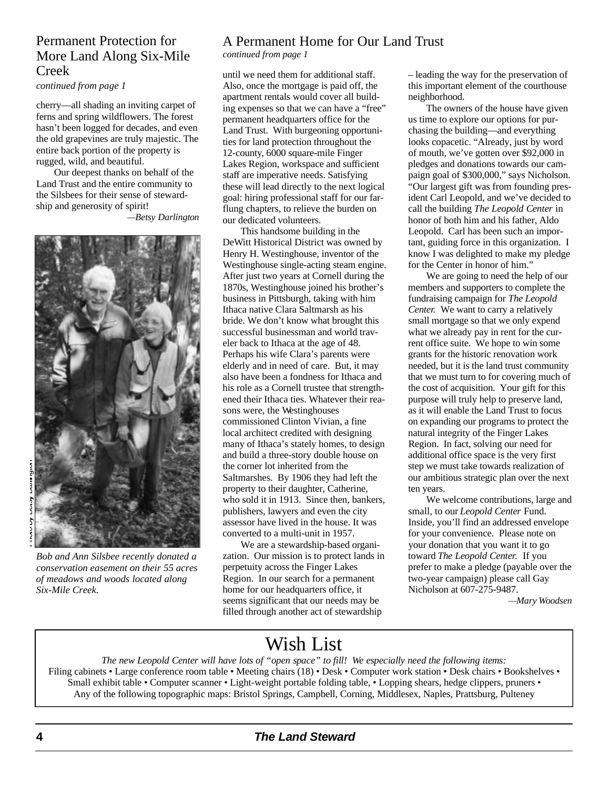#### Permanent Protection for More Land Along Six-Mile Creek

*continued from page 1*

cherry—all shading an inviting carpet of ferns and spring wildflowers. The forest hasn't been logged for decades, and even the old grapevines are truly majestic. The entire back portion of the property is rugged, wild, and beautiful.

Our deepest thanks on behalf of the Land Trust and the entire community to the Silsbees for their sense of stewardship and generosity of spirit!

#### *—Betsy Darlington*



*Bob and Ann Silsbee recently donated a conservation easement on their 55 acres of meadows and woods located along Six-Mile Creek.* 

#### A Permanent Home for Our Land Trust

*continued from page 1*

until we need them for additional staff. Also, once the mortgage is paid off, the apartment rentals would cover all building expenses so that we can have a "free" permanent headquarters office for the Land Trust. With burgeoning opportunities for land protection throughout the 12-county, 6000 square-mile Finger Lakes Region, workspace and sufficient staff are imperative needs. Satisfying these will lead directly to the next logical goal: hiring professional staff for our farflung chapters, to relieve the burden on our dedicated volunteers.

This handsome building in the De Witt Historical District was owned by Henry H. Westinghouse, inventor of the Westinghouse single-acting steam engine. After just two years at Cornell during the 1870s, Westinghouse joined his brother's business in Pittsburgh, taking with him Ithaca native Clara Saltmarsh as his bride. We don't know what brought this successful businessman and world traveler back to Ithaca at the age of 48. Perhaps his wife Clara's parents were elderly and in need of care. But, it may also have been a fondness for Ithaca and his role as a Cornell trustee that strengthened their Ithaca ties. Whatever their reasons were, the Westinghouses commissioned Clinton Vivian, a fine local architect credited with designing many of Ithaca's stately homes, to design and build a three-story double house on the corner lot inherited from the Saltmarshes. By 1906 they had left the property to their daughter, Catherine, who sold it in 1913. Since then, bankers, publishers, lawyers and even the city assessor have lived in the house. It was converted to a multi-unit in 1957.

We are a stewardship-based organization. Our mission is to protect lands in perpetuity across the Finger Lakes Region. In our search for a permanent home for our headquarters office, it seems significant that our needs may be filled through another act of stewardship

– leading the way for the preservation of this important element of the courthouse neighborhood.

The owners of the house have given us time to explore our options for purchasing the building—and everything looks copacetic. "Already, just by word of mouth, we've gotten over \$92,000 in pledges and donations towards our campaign goal of \$300,000," says Nicholson. "Our largest gift was from founding president Carl Leopold, and we've decided to call the building *The Leopold Center* in honor of both him and his father, Aldo Leopold. Carl has been such an important, guiding force in this organization. I know I was delighted to make my pledge for the Center in honor of him."

We are going to need the help of our members and supporters to complete the fundraising campaign for *The Leopold Center.* We want to carry a relatively small mortgage so that we only expend what we already pay in rent for the current office suite. We hope to win some grants for the historic renovation work needed, but it is the land trust community that we must turn to for covering much of the cost of acquisition. Your gift for this purpose will truly help to preserve land, as it will enable the Land Trust to focus on expanding our programs to protect the natural integrity of the Finger Lakes Region. In fact, solving our need for additional office space is the very first step we must take towards realization of our ambitious strategic plan over the next ten years.

We welcome contributions, large and small, to our *Leopold Center* Fund. Inside, you'll find an addressed envelope for your convenience. Please note on your donation that you want it to go toward *The Leopold Center.* If you prefer to make a pledge (payable over the two-year campaign) please call Gay Nicholson at 607-275-9487.

 $-Mary Woodsen$ 

### Wish List

*The new Leopold Center will have lots of "open space" to fill! We especially need the following items:* Filing cabinets • Large conference room table • Meeting chairs (18) • Desk • Computer work station • Desk chairs • Bookshelves • Small exhibit table • Computer scanner • Light-weight portable folding table, • Lopping shears, hedge clippers, pruners • Any of the following topographic maps: Bristol Springs, Campbell, Corning, Middlesex, Naples, Prattsburg, Pulteney

#### **The Land Steward**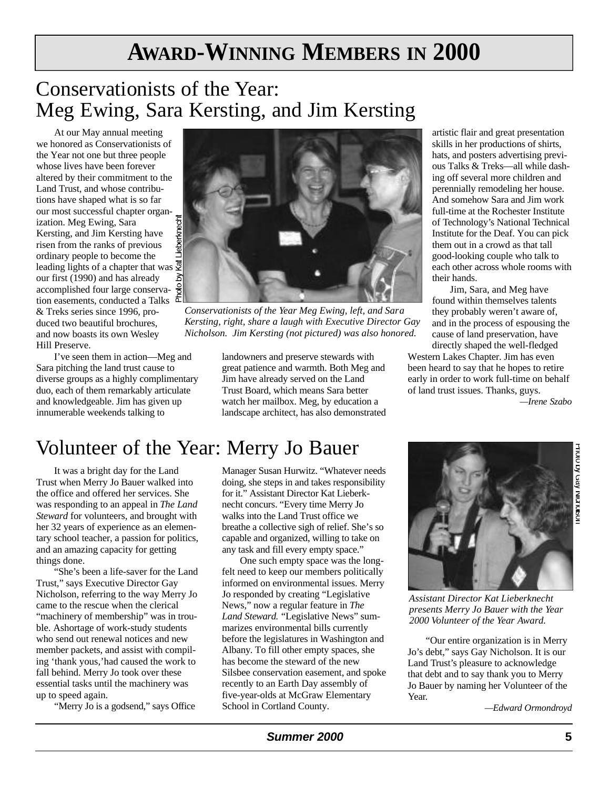# **AWARD-WINNING MEMBERS IN 2000**

## Conservationists of the Year: Meg Ewing, Sara Kersting, and Jim Kersting

At our May annual meeting we honored as Conservationists of the Year not one but three people whose lives have been forever altered by their commitment to the Land Trust, and whose contributions have shaped what is so far our most successful chapter organization. Meg Ewing, Sara Kersting, and Jim Kersting have risen from the ranks of previous ordinary people to become the leading lights of a chapter that was  $\overline{\mathscr{Z}}$ our first (1990) and has already accomplished four large conservation easements, conducted a Talks & Treks series since 1996, produced two beautiful brochures, and now boasts its own Wesley Hill Preserve.

I've seen them in action—Meg and Sara pitching the land trust cause to diverse groups as a highly complimentary duo, each of them remarkably articulate and knowledgeable. Jim has given up innumerable weekends talking to



*Conservationists of the Year Meg Ewing, left, and Sara Kersting, right, share a laugh with Executive Director Gay Nicholson. Jim Kersting (not pictured) was also honored.*

landowners and preserve stewards with great patience and warmth. Both Meg and Jim have already served on the Land Trust Board, which means Sara better watch her mailbox. Meg, by education a landscape architect, has also demonstrated

artistic flair and great presentation skills in her productions of shirts, hats, and posters advertising previous Talks & Treks—all while dashing off several more children and perennially remodeling her house. And somehow Sara and Jim work full-time at the Rochester Institute of Technology's National Technical Institute for the Deaf. You can pick them out in a crowd as that tall good-looking couple who talk to each other across whole rooms with their hands.

Jim, Sara, and Meg have found within themselves talents they probably weren't aware of, and in the process of espousing the cause of land preservation, have directly shaped the well-fledged

Western Lakes Chapter. Jim has even been heard to say that he hopes to retire early in order to work full-time on behalf of land trust issues. Thanks, guys.

*— I rene Szabo*

## Volunteer of the Year: Merry Jo Bauer

It was a bright day for the Land Trust when Merry Jo Bauer walked into the office and offered her services. She was responding to an appeal in *The Land Steward* for volunteers, and brought with her 32 years of experience as an elementary school teacher, a passion for politics, and an amazing capacity for getting things done.

"She's been a life-saver for the Land Trust," says Executive Director Gay Nicholson, referring to the way Merry Jo came to the rescue when the clerical "machinery of membership" was in trouble. Ashortage of work-study students who send out renewal notices and new member packets, and assist with compiling 'thank yous,'had caused the work to fall behind. Merry Jo took over these essential tasks until the machinery was up to speed again.

"Merry Jo is a godsend," says Office

Manager Susan Hurwitz. "Whatever needs doing, she steps in and takes responsibility for it." Assistant Director Kat Lieberknecht concurs. "Every time Merry Jo walks into the Land Trust office we breathe a collective sigh of relief. She's so capable and organized, willing to take on any task and fill every empty space."

One such empty space was the longfelt need to keep our members politically informed on environmental issues. Merry Jo responded by creating "Legislative News," now a regular feature in *The* Land Steward. "Legislative News" summarizes environmental bills currently before the legislatures in Washington and Albany. To fill other empty spaces, she has become the steward of the new Silsbee conservation easement, and spoke recently to an Earth Day assembly of five-year-olds at McGraw Elementary School in Cortland County.



*Assistant Director Kat Lieberknecht presents Merry Jo Bauer with the Year 2000 Volunteer of the Year Award.*

"Our entire organization is in Merry Jo's debt," says Gay Nicholson. It is our Land Trust's pleasure to acknowledge that debt and to say thank you to Merry Jo Bauer by naming her Volunteer of the Year.

*— E d w a rd Ormondro y d*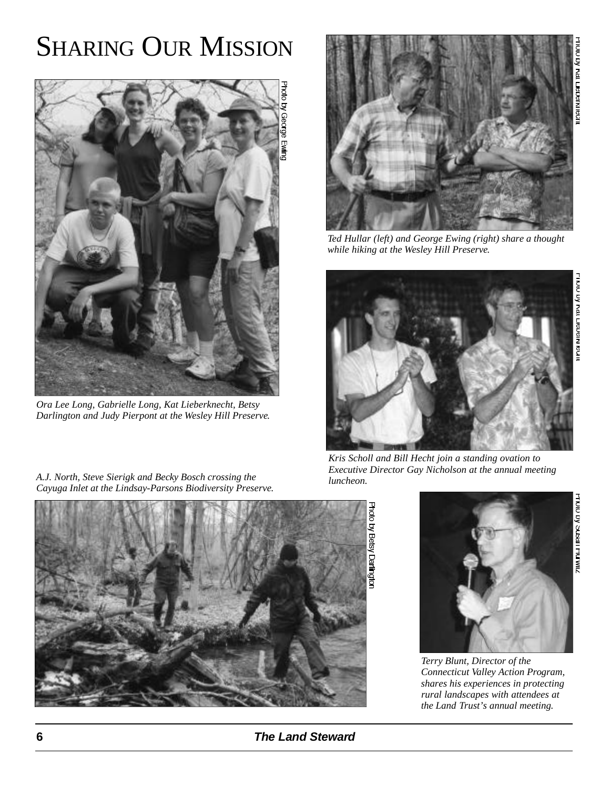# **SHARING OUR MISSION**



*Ora Lee Long, Gabrielle Long, Kat Lieberknecht, Betsy Darlington and Judy Pierpont at the Wesley Hill Preserve.*

*A.J. North, Steve Sierigk and Becky Bosch crossing the Cayuga Inlet at the Lindsay-Parsons Biodiversity Preserve.*



*Ted Hullar (left) and George Ewing (right) share a thought while hiking at the Wesley Hill Preserve.*



*Kris Scholl and Bill Hecht join a standing ovation to Executive Director Gay Nicholson at the annual meeting luncheon.*



Photo by Betsy Darlington



*Terry Blunt, Director of the Connecticut Valley Action Program, shares his experiences in protecting rural landscapes with attendees at the Land Trust's annual meeting.*

**6 The Land Steward**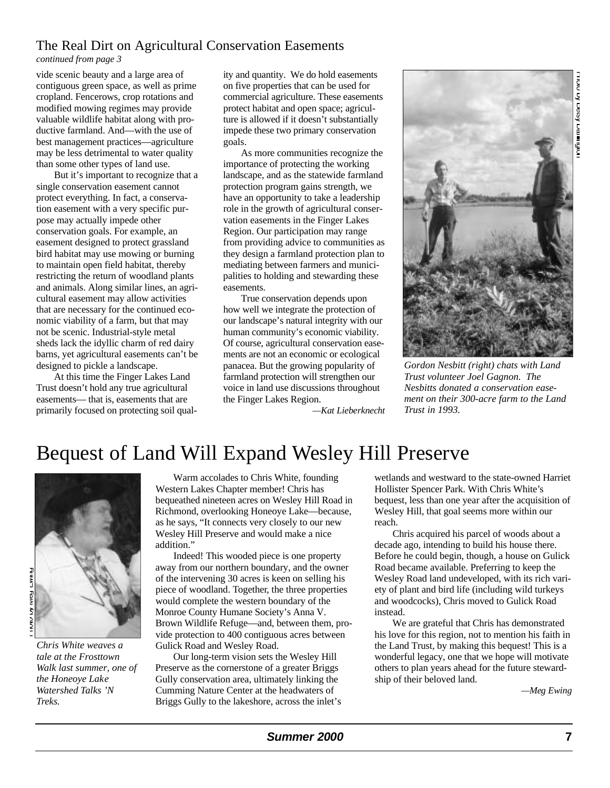#### The Real Dirt on Agricultural Conservation Easements

*continued from page 3*

vide scenic beauty and a large area of contiguous green space, as well as prime cropland. Fencerows, crop rotations and modified mowing regimes may provide valuable wildlife habitat along with productive farmland. And—with the use of best management practices—agriculture may be less detrimental to water quality than some other types of land use.

But it's important to recognize that a single conservation easement cannot protect everything. In fact, a conservation easement with a very specific purpose may actually impede other conservation goals. For example, an easement designed to protect grassland bird habitat may use mowing or burning to maintain open field habitat, thereby restricting the return of woodland plants and animals. Along similar lines, an agricultural easement may allow activities that are necessary for the continued economic viability of a farm, but that may not be scenic. Industrial-style metal sheds lack the idyllic charm of red dairy barns, yet agricultural easements can't be designed to pickle a landscape.

At this time the Finger Lakes Land Trust doesn't hold any true agricultural easements— that is, easements that are primarily focused on protecting soil quality and quantity. We do hold easements on five properties that can be used for commercial agriculture. These easements protect habitat and open space; agriculture is allowed if it doesn't substantially impede these two primary conservation goals.

As more communities recognize the importance of protecting the working landscape, and as the statewide farmland protection program gains strength, we have an opportunity to take a leadership role in the growth of agricultural conservation easements in the Finger Lakes Region. Our participation may range from providing advice to communities as they design a farmland protection plan to mediating between farmers and municipalities to holding and stewarding these easements.

True conservation depends upon how well we integrate the protection of our landscape's natural integrity with our human community's economic viability. Of course, agricultural conservation easements are not an economic or ecological panacea. But the growing popularity of farmland protection will strengthen our voice in land use discussions throughout the Finger Lakes Region.



*Gordon Nesbitt (right) chats with Land Trust volunteer Joel Gagnon. The Nesbitts donated a conservation easement on their 300-acre farm to the Land Trust in 1993.* 

*—Kat Lieberknech t*

## Bequest of Land Will Expand Wesley Hill Preserve



*Chris White weaves a tale at the Frosttown Walk last summer, one of the Honeoye Lake Watershed Talks 'N Treks.* 

Warm accolades to Chris White, founding Western Lakes Chapter member! Chris has bequeathed nineteen acres on Wesley Hill Road in Richmond, overlooking Honeoye Lake—because, as he says, "It connects very closely to our new Wesley Hill Preserve and would make a nice addition."

Indeed! This wooded piece is one property away from our northern boundary, and the owner of the intervening 30 acres is keen on selling his piece of woodland. Together, the three properties would complete the western boundary of the Monroe County Humane Society's Anna V. Brown Wildlife Refuge—and, between them, provide protection to 400 contiguous acres between Gulick Road and Wesley Road.

Our long-term vision sets the Wesley Hill Preserve as the cornerstone of a greater Briggs Gully conservation area, ultimately linking the Cumming Nature Center at the headwaters of Briggs Gully to the lakeshore, across the inlet's wetlands and westward to the state-owned Harriet Hollister Spencer Park. With Chris White's bequest, less than one year after the acquisition of Wesley Hill, that goal seems more within our reach.

Chris acquired his parcel of woods about a decade ago, intending to build his house there. Before he could begin, though, a house on Gulick Road became available. Preferring to keep the Wesley Road land undeveloped, with its rich variety of plant and bird life (including wild turkeys and woodcocks), Chris moved to Gulick Road instead.

We are grateful that Chris has demonstrated his love for this region, not to mention his faith in the Land Trust, by making this bequest! This is a wonderful legacy, one that we hope will motivate others to plan years ahead for the future stewardship of their beloved land.

*— M eg Ewing*

**Summer 2000 7**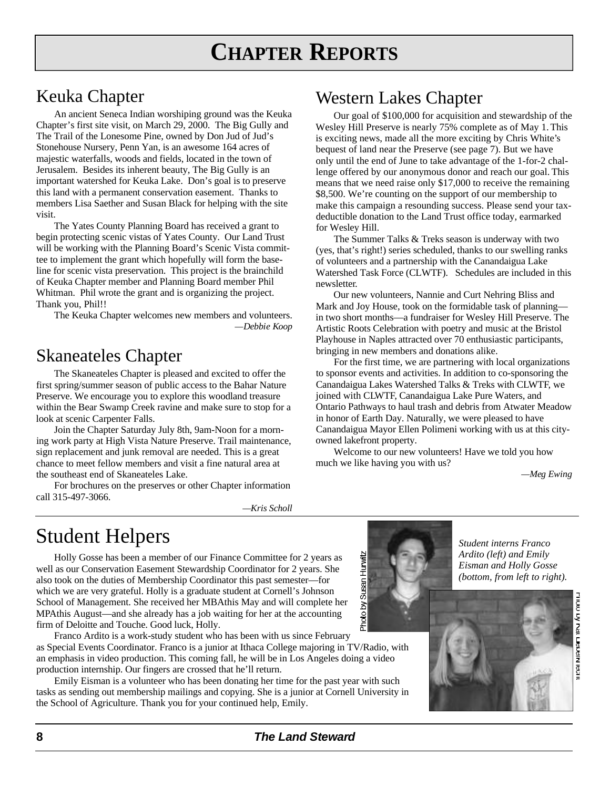# **CHAPTER REPORTS**

### Keuka Chapter

An ancient Seneca Indian worshiping ground was the Keuka Chapter's first site visit, on March 29, 2000. The Big Gully and The Trail of the Lonesome Pine, owned by Don Jud of Jud's Stonehouse Nursery, Penn Yan, is an awesome 164 acres of majestic waterfalls, woods and fields, located in the town of Jerusalem. Besides its inherent beauty, The Big Gully is an important watershed for Keuka Lake. Don's goal is to preserve this land with a permanent conservation easement. Thanks to members Lisa Saether and Susan Black for helping with the site visit.

The Yates County Planning Board has received a grant to begin protecting scenic vistas of Yates County. Our Land Trust will be working with the Planning Board's Scenic Vista committee to implement the grant which hopefully will form the baseline for scenic vista preservation. This project is the brainchild of Keuka Chapter member and Planning Board member Phil Whitman. Phil wrote the grant and is organizing the project. Thank you, Phil!!

The Keuka Chapter welcomes new members and volunteers.  $-Debbie Koop$ 

### Skaneateles Chapter

The Skaneateles Chapter is pleased and excited to offer the first spring/summer season of public access to the Bahar Nature Preserve. We encourage you to explore this woodland treasure within the Bear Swamp Creek ravine and make sure to stop for a look at scenic Carpenter Falls.

Join the Chapter Saturday July 8th, 9am-Noon for a morning work party at High Vista Nature Preserve. Trail maintenance, sign replacement and junk removal are needed. This is a great chance to meet fellow members and visit a fine natural area at the southeast end of Skaneateles Lake.

For brochures on the preserves or other Chapter information call 315-497-3066.

*—Kris Sch o l l*

### Western Lakes Chapter

Our goal of \$100,000 for acquisition and stewardship of the Wesley Hill Preserve is nearly 75% complete as of May 1. This is exciting news, made all the more exciting by Chris White's bequest of land near the Preserve (see page 7). But we have only until the end of June to take advantage of the 1-for-2 challenge offered by our anonymous donor and reach our goal. This means that we need raise only \$17,000 to receive the remaining \$8,500. We're counting on the support of our membership to make this campaign a resounding success. Please send your taxdeductible donation to the Land Trust office today, earmarked for Wesley Hill.

The Summer Talks & Treks season is underway with two (yes, that's right!) series scheduled, thanks to our swelling ranks of volunteers and a partnership with the Canandaigua Lake Watershed Task Force (CLWTF). Schedules are included in this newsletter.

Our new volunteers, Nannie and Curt Nehring Bliss and Mark and Joy House, took on the formidable task of planning in two short months—a fundraiser for Wesley Hill Preserve. The Artistic Roots Celebration with poetry and music at the Bristol Playhouse in Naples attracted over 70 enthusiastic participants, bringing in new members and donations alike.

For the first time, we are partnering with local organizations to sponsor events and activities. In addition to co-sponsoring the Canandaigua Lakes Watershed Talks & Treks with CLWTF, we joined with CLWTF, Canandaigua Lake Pure Waters, and Ontario Pathways to haul trash and debris from Atwater Meadow in honor of Earth Day. Naturally, we were pleased to have Canandaigua Mayor Ellen Polimeni working with us at this cityowned lakefront property.

Welcome to our new volunteers! Have we told you how much we like having you with us?

*— M eg Ewing*

## Student Helpers

Holly Gosse has been a member of our Finance Committee for 2 years as well as our Conservation Easement Stewardship Coordinator for 2 years. She also took on the duties of Membership Coordinator this past semester—for which we are very grateful. Holly is a graduate student at Cornell's Johnson School of Management. She received her MBAthis May and will complete her MPAthis August—and she already has a job waiting for her at the accounting firm of Deloitte and Touche. Good luck, Holly.

Franco Ardito is a work-study student who has been with us since February as Special Events Coordinator. Franco is a junior at Ithaca College majoring in TV/Radio, with an emphasis in video production. This coming fall, he will be in Los Angeles doing a video production internship. Our fingers are crossed that he'll return.

Emily Eisman is a volunteer who has been donating her time for the past year with such tasks as sending out membership mailings and copying. She is a junior at Cornell University in the School of Agriculture. Thank you for your continued help, Emily.





Susan Hurwitz

No opu<sub>r</sub>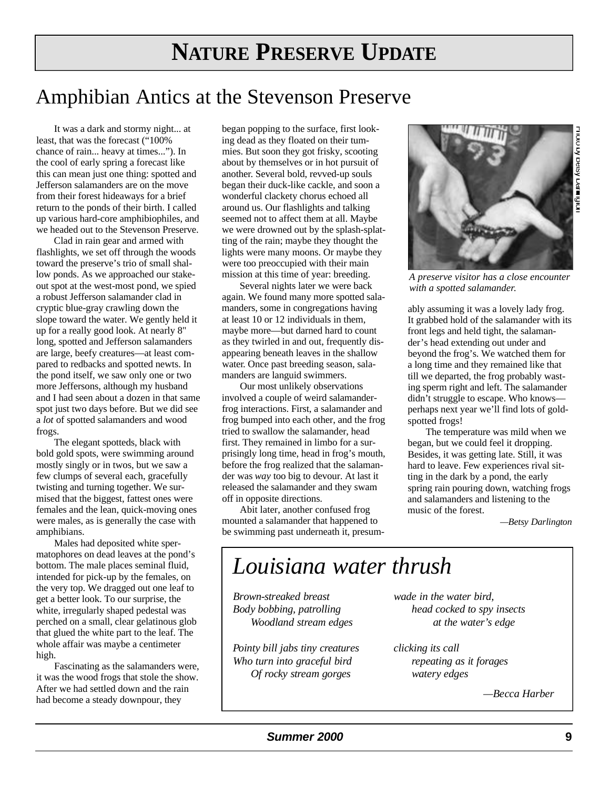# **NATURE PRESERVE UPDATE**

## Amphibian Antics at the Stevenson Preserve

It was a dark and stormy night... at least, that was the forecast ("100% chance of rain... heavy at times..."). In the cool of early spring a forecast like this can mean just one thing: spotted and Jefferson salamanders are on the move from their forest hideaways for a brief return to the ponds of their birth. I called up various hard-core amphibiophiles, and we headed out to the Stevenson Preserve.

Clad in rain gear and armed with flashlights, we set off through the woods toward the preserve's trio of small shallow ponds. As we approached our stakeout spot at the west-most pond, we spied a robust Jefferson salamander clad in cryptic blue-gray crawling down the slope toward the water. We gently held it up for a really good look. At nearly 8" long, spotted and Jefferson salamanders are large, beefy creatures—at least compared to redbacks and spotted newts. In the pond itself, we saw only one or two more Jeffersons, although my husband and I had seen about a dozen in that same spot just two days before. But we did see a *lot* of spotted salamanders and wood frogs.

The elegant spotteds, black with bold gold spots, were swimming around mostly singly or in twos, but we saw a few clumps of several each, gracefully twisting and turning together. We surmised that the biggest, fattest ones were females and the lean, quick-moving ones were males, as is generally the case with amphibians.

Males had deposited white spermatophores on dead leaves at the pond's bottom. The male places seminal fluid, intended for pick-up by the females, on the very top. We dragged out one leaf to get a better look. To our surprise, the white, irregularly shaped pedestal was perched on a small, clear gelatinous glob that glued the white part to the leaf. The whole affair was maybe a centimeter high.

Fascinating as the salamanders were, it was the wood frogs that stole the show. After we had settled down and the rain had become a steady downpour, they

began popping to the surface, first looking dead as they floated on their tummies. But soon they got frisky, scooting about by themselves or in hot pursuit of another. Several bold, revved-up souls began their duck-like cackle, and soon a wonderful clackety chorus echoed all around us. Our flashlights and talking seemed not to affect them at all. Maybe we were drowned out by the splash-splatting of the rain; maybe they thought the lights were many moons. Or maybe they were too preoccupied with their main mission at this time of year: breeding.

Several nights later we were back again. We found many more spotted salamanders, some in congregations having at least 10 or 12 individuals in them, maybe more—but darned hard to count as they twirled in and out, frequently disappearing beneath leaves in the shallow water. Once past breeding season, salamanders are languid swimmers.

Our most unlikely observations involved a couple of weird salamanderfrog interactions. First, a salamander and frog bumped into each other, and the frog tried to swallow the salamander, head first. They remained in limbo for a surprisingly long time, head in frog's mouth, before the frog realized that the salamander was *way* too big to devour. At last it released the salamander and they swam o ff in opposite directions.

Abit later, another confused frog mounted a salamander that happened to be swimming past underneath it, presum-



*A preserve visitor has a close encounter with a spotted salamander.*

ably assuming it was a lovely lady frog. It grabbed hold of the salamander with its front legs and held tight, the salamander's head extending out under and beyond the frog's. We watched them for a long time and they remained like that till we departed, the frog probably wasting sperm right and left. The salamander didn't struggle to escape. Who knowsperhaps next year we'll find lots of goldspotted frogs!

The temperature was mild when we began, but we could feel it dropping. Besides, it was getting late. Still, it was hard to leave. Few experiences rival sitting in the dark by a pond, the early spring rain pouring down, watching frogs and salamanders and listening to the music of the forest.

*—Betsy Darlington*

## *Louisiana water thrush*

*Brown-streaked breast Body bobbing, patrolling Woodland stream edges* 

*Pointy bill jabs tiny creatures Who turn into graceful bird Of ro cky stream gorge s*

*wade in the water bird. head cocked to spy insects at the water's edge*

*clicking its call repeating as it forage s watery edge s*

*—Becca Harber*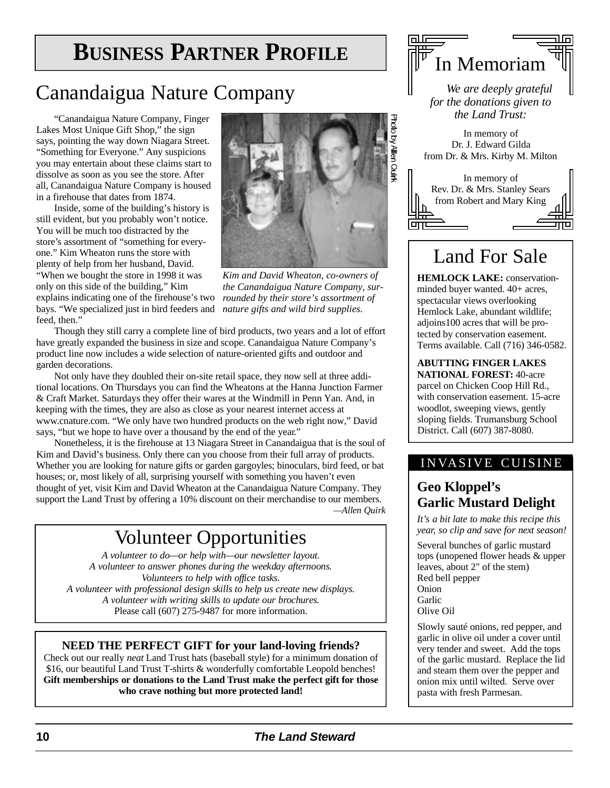# **BUSINESS PARTNER PROFILE**

### Canandaigua Nature Company

"Canandaigua Nature Company, Finger Lakes Most Unique Gift Shop," the sign says, pointing the way down Niagara Street. "Something for Everyone." Any suspicions you may entertain about these claims start to dissolve as soon as you see the store. After all, Canandaigua Nature Company is housed in a firehouse that dates from 1874.

Inside, some of the building's history is still evident, but you probably won't notice. You will be much too distracted by the store's assortment of "something for everyone." Kim Wheaton runs the store with plenty of help from her husband, David. "When we bought the store in 1998 it was only on this side of the building," Kim explains indicating one of the firehouse's two *rounded by their store's assortment of* bays. "We specialized just in bird feeders and *nature gifts and wild bird supplies.*  feed, then."



*Kim and David Wheaton, co-owners of the Canandaigua Nature Company, sur-*

Though they still carry a complete line of bird products, two years and a lot of effort have greatly expanded the business in size and scope. Canandaigua Nature Company's product line now includes a wide selection of nature-oriented gifts and outdoor and garden decorations.

Not only have they doubled their on-site retail space, they now sell at three additional locations. On Thursdays you can find the Wheatons at the Hanna Junction Farmer & Craft Market. Saturdays they offer their wares at the Windmill in Penn Yan. And, in keeping with the times, they are also as close as your nearest internet access at www.cnature.com. "We only have two hundred products on the web right now," David says, "but we hope to have over a thousand by the end of the year."

Nonetheless, it is the firehouse at 13 Niagara Street in Canandaigua that is the soul of Kim and David's business. Only there can you choose from their full array of products. Whether you are looking for nature gifts or garden gargoyles; binoculars, bird feed, or bat houses; or, most likely of all, surprising yourself with something you haven't even thought of yet, visit Kim and David Wheaton at the Canandaigua Nature Company. They support the Land Trust by offering a 10% discount on their merchandise to our members. *—Allen Quirk*

## Volunteer Opportunities

*A volunteer to do—or help with—our newsletter layout. A volunteer to answer phones during the weekday afternoons. Volunteers to help with office tasks. A volunteer with professional design skills to help us create new displays.* A volunteer with writing skills to update our brochures. Please call (607) 275-9487 for more information.

#### **NEED THE PERFECT GIFT for your land-loving friends?**

Check out our really *neat* Land Trust hats (baseball style) for a minimum donation of \$16, our beautiful Land Trust T-shirts & wonderfully comfortable Leopold benches! **Gift memberships or donations to the Land Trust make the perfect gift for those who crave nothing but more protected land!**



*We are deeply grateful for the donations given to the Land Trust:* 

In memory of Dr. J. Edward Gilda from Dr. & Mrs. Kirby M. Milton



## Land For Sale

**HEMLOCK LAKE:** conservationminded buyer wanted. 40+ acres, spectacular views overlooking Hemlock Lake, abundant wildlife; adjoins100 acres that will be protected by conservation easement. Terms available. Call (716) 346-0582.

**A BUTTING FINGER LAKES NATIONAL FOREST: 40-acre** parcel on Chicken Coop Hill Rd., with conservation easement. 15-acre woodlot, sweeping views, gently sloping fields. Trumansburg School District. Call (607) 387-8080.

#### INVASIVE CUISINE

### **Geo Kloppel's Garlic Mustard Delight**

*It's a bit late to make this recipe this year, so clip and save for next season!* 

Several bunches of garlic mustard tops (unopened flower heads & upper leaves, about 2" of the stem) Red bell pepper Onion **Garlic** Olive Oil

Slowly sauté onions, red pepper, and garlic in olive oil under a cover until very tender and sweet. Add the tops of the garlic mustard. Replace the lid and steam them over the pepper and onion mix until wilted. Serve over pasta with fresh Parmesan.

#### **1 0 The Land Stew a rd**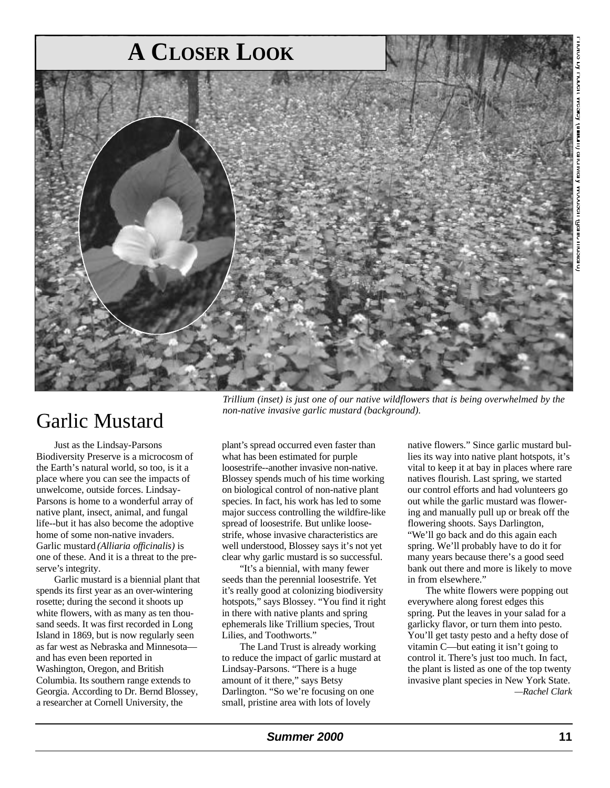

### Garlic Mustard

Just as the Lindsay-Parsons Biodiversity Preserve is a microcosm of the Earth's natural world, so too, is it a place where you can see the impacts of unwelcome, outside forces. Lindsay-Parsons is home to a wonderful array of native plant, insect, animal, and fungal life--but it has also become the adoptive home of some non-native invaders. Garlic mustard *(Alliaria officinalis)* is one of these. And it is a threat to the preserve's integrity.

Garlic mustard is a biennial plant that spends its first year as an over-wintering rosette; during the second it shoots up white flowers, with as many as ten thousand seeds. It was first recorded in Long Island in 1869, but is now regularly seen as far west as Nebraska and Minnesota and has even been reported in Washington, Oregon, and British Columbia. Its southern range extends to Georgia. According to Dr. Bernd Blossey, a researcher at Cornell University, the

*Trillium (inset) is just one of our native wildflowers that is being overwhelmed by the non-native invasive garlic mustard (background).* 

plant's spread occurred even faster than what has been estimated for purple loosestrife--another invasive non-native. Blossey spends much of his time working on biological control of non-native plant species. In fact, his work has led to some major success controlling the wildfire-like spread of loosestrife. But unlike loosestrife, whose invasive characteristics are well understood, Blossey says it's not yet clear why garlic mustard is so successful.

"It's a biennial, with many fewer seeds than the perennial loosestrife. Yet it's really good at colonizing biodiversity hotspots," says Blossey. "You find it right in there with native plants and spring ephemerals like Trillium species, Trout Lilies, and Toothworts."

The Land Trust is already working to reduce the impact of garlic mustard at Lindsay-Parsons. "There is a huge amount of it there," says Betsy Darlington. "So we're focusing on one small, pristine area with lots of lovely

native flowers." Since garlic mustard bullies its way into native plant hotspots, it's vital to keep it at bay in places where rare natives flourish. Last spring, we started our control efforts and had volunteers go out while the garlic mustard was flowering and manually pull up or break off the flowering shoots. Says Darlington, "We'll go back and do this again each spring. We'll probably have to do it for many years because there's a good seed bank out there and more is likely to move in from elsewhere."

The white flowers were popping out everywhere along forest edges this spring. Put the leaves in your salad for a garlicky flavor, or turn them into pesto. You'll get tasty pesto and a hefty dose of vitamin C—but eating it isn't going to control it. There's just too much. In fact, the plant is listed as one of the top twenty invasive plant species in New York State. *— R a chel Clark*